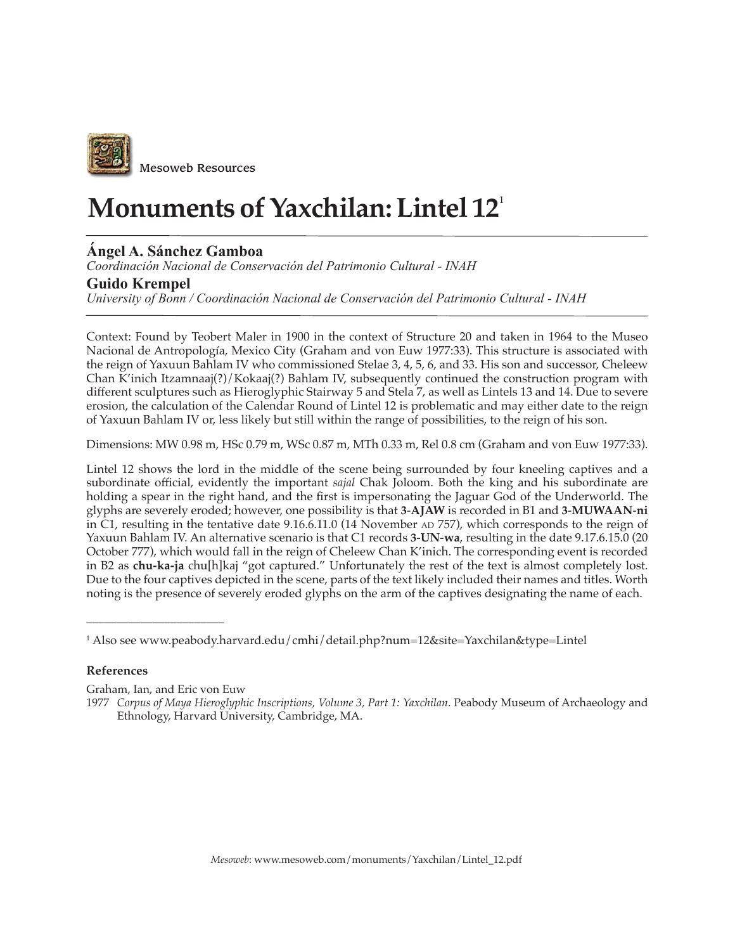

## **Monuments of Yaxchilan: Lintel 12**<sup>1</sup>

## **Ángel A. Sánchez Gamboa**

*Coordinación Nacional de Conservación del Patrimonio Cultural - INAH*

## **Guido Krempel**

*University of Bonn / Coordinación Nacional de Conservación del Patrimonio Cultural - INAH*

Context: Found by Teobert Maler in 1900 in the context of Structure 20 and taken in 1964 to the Museo Nacional de Antropología*,* Mexico City (Graham and von Euw 1977:33). This structure is associated with the reign of Yaxuun Bahlam IV who commissioned Stelae 3, 4, 5, 6, and 33. His son and successor, Cheleew Chan K'inich Itzamnaaj(?)/Kokaaj(?) Bahlam IV, subsequently continued the construction program with different sculptures such as Hieroglyphic Stairway 5 and Stela 7, as well as Lintels 13 and 14. Due to severe erosion, the calculation of the Calendar Round of Lintel 12 is problematic and may either date to the reign of Yaxuun Bahlam IV or, less likely but still within the range of possibilities, to the reign of his son.

Dimensions: MW 0.98 m, HSc 0.79 m, WSc 0.87 m, MTh 0.33 m, Rel 0.8 cm (Graham and von Euw 1977:33).

Lintel 12 shows the lord in the middle of the scene being surrounded by four kneeling captives and a subordinate official, evidently the important *sajal* Chak Joloom. Both the king and his subordinate are holding a spear in the right hand, and the first is impersonating the Jaguar God of the Underworld. The glyphs are severely eroded; however, one possibility is that **3**-**AJAW** is recorded in B1 and **3**-**MUWAAN**-**ni** in C1, resulting in the tentative date 9.16.6.11.0 (14 November AD 757), which corresponds to the reign of Yaxuun Bahlam IV. An alternative scenario is that C1 records **3**-**UN**-**wa**, resulting in the date 9.17.6.15.0 (20 October 777), which would fall in the reign of Cheleew Chan K'inich. The corresponding event is recorded in B2 as **chu-ka-ja** chu[h]kaj "got captured." Unfortunately the rest of the text is almost completely lost. Due to the four captives depicted in the scene, parts of the text likely included their names and titles. Worth noting is the presence of severely eroded glyphs on the arm of the captives designating the name of each.

## **References**

Graham, Ian, and Eric von Euw

\_\_\_\_\_\_\_\_\_\_\_\_\_\_\_\_\_\_\_\_\_\_\_

<sup>1</sup> Also see www.peabody.harvard.edu/cmhi/detail.php?num=12&site=Yaxchilan&type=Lintel

<sup>1977</sup> *Corpus of Maya Hieroglyphic Inscriptions, Volume 3, Part 1: Yaxchilan*. Peabody Museum of Archaeology and Ethnology, Harvard University, Cambridge, MA.